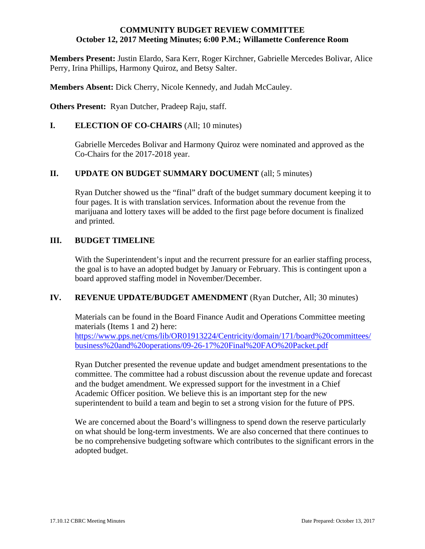#### **COMMUNITY BUDGET REVIEW COMMITTEE October 12, 2017 Meeting Minutes; 6:00 P.M.; Willamette Conference Room**

**Members Present:** Justin Elardo, Sara Kerr, Roger Kirchner, Gabrielle Mercedes Bolivar, Alice Perry, Irina Phillips, Harmony Quiroz, and Betsy Salter.

**Members Absent:** Dick Cherry, Nicole Kennedy, and Judah McCauley.

**Others Present:** Ryan Dutcher, Pradeep Raju, staff.

### **I. ELECTION OF CO-CHAIRS** (All; 10 minutes)

Gabrielle Mercedes Bolivar and Harmony Quiroz were nominated and approved as the Co-Chairs for the 2017-2018 year.

### **II.** UPDATE ON BUDGET SUMMARY DOCUMENT (all; 5 minutes)

 Ryan Dutcher showed us the "final" draft of the budget summary document keeping it to four pages. It is with translation services. Information about the revenue from the marijuana and lottery taxes will be added to the first page before document is finalized and printed.

### **III. BUDGET TIMELINE**

With the Superintendent's input and the recurrent pressure for an earlier staffing process, the goal is to have an adopted budget by January or February. This is contingent upon a board approved staffing model in November/December.

### **IV.** REVENUE UPDATE/BUDGET AMENDMENT (Ryan Dutcher, All; 30 minutes)

 Materials can be found in the Board Finance Audit and Operations Committee meeting materials (Items 1 and 2) here: https://www.pps.net/cms/lib/OR01913224/Centricity/domain/171/board%20committees/ business%20and%20operations/09-26-17%20Final%20FAO%20Packet.pdf

 Ryan Dutcher presented the revenue update and budget amendment presentations to the committee. The committee had a robust discussion about the revenue update and forecast and the budget amendment. We expressed support for the investment in a Chief Academic Officer position. We believe this is an important step for the new superintendent to build a team and begin to set a strong vision for the future of PPS.

 We are concerned about the Board's willingness to spend down the reserve particularly on what should be long-term investments. We are also concerned that there continues to be no comprehensive budgeting software which contributes to the significant errors in the adopted budget.